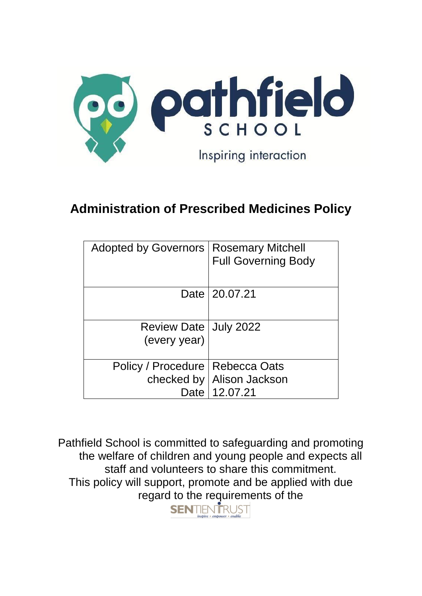

# **Administration of Prescribed Medicines Policy**

| Adopted by Governors   Rosemary Mitchell |                             |
|------------------------------------------|-----------------------------|
|                                          | <b>Full Governing Body</b>  |
|                                          |                             |
|                                          |                             |
|                                          | Date 20.07.21               |
|                                          |                             |
|                                          |                             |
| Review Date   July 2022                  |                             |
|                                          |                             |
| (every year)                             |                             |
|                                          |                             |
| Policy / Procedure   Rebecca Oats        |                             |
|                                          | checked by   Alison Jackson |
|                                          | Date   12.07.21             |
|                                          |                             |

Pathfield School is committed to safeguarding and promoting the welfare of children and young people and expects all staff and volunteers to share this commitment. This policy will support, promote and be applied with due regard to the requirements of the **SENTIENTRUST**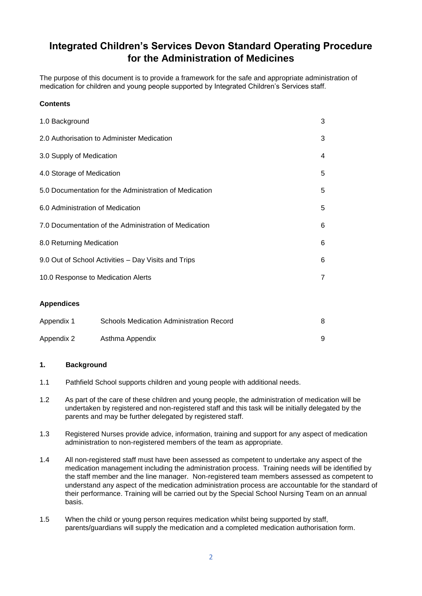# **Integrated Children's Services Devon Standard Operating Procedure for the Administration of Medicines**

The purpose of this document is to provide a framework for the safe and appropriate administration of medication for children and young people supported by Integrated Children's Services staff.

## **Contents**

| 1.0 Background                     |                                                        | 3              |  |
|------------------------------------|--------------------------------------------------------|----------------|--|
|                                    | 2.0 Authorisation to Administer Medication             | 3              |  |
| 3.0 Supply of Medication           |                                                        | 4              |  |
| 4.0 Storage of Medication          |                                                        | 5              |  |
|                                    | 5.0 Documentation for the Administration of Medication | 5              |  |
| 6.0 Administration of Medication   |                                                        | 5              |  |
|                                    | 7.0 Documentation of the Administration of Medication  | 6              |  |
| 8.0 Returning Medication           |                                                        | 6              |  |
|                                    | 9.0 Out of School Activities - Day Visits and Trips    | 6              |  |
| 10.0 Response to Medication Alerts |                                                        | $\overline{7}$ |  |
| <b>Appendices</b>                  |                                                        |                |  |
| Appendix 1                         | <b>Schools Medication Administration Record</b>        | 8              |  |

| Appendix 2 | Asthma Appendix |  |
|------------|-----------------|--|

#### **1. Background**

- 1.1 Pathfield School supports children and young people with additional needs.
- 1.2 As part of the care of these children and young people, the administration of medication will be undertaken by registered and non-registered staff and this task will be initially delegated by the parents and may be further delegated by registered staff.
- 1.3 Registered Nurses provide advice, information, training and support for any aspect of medication administration to non-registered members of the team as appropriate.
- 1.4 All non-registered staff must have been assessed as competent to undertake any aspect of the medication management including the administration process. Training needs will be identified by the staff member and the line manager. Non-registered team members assessed as competent to understand any aspect of the medication administration process are accountable for the standard of their performance. Training will be carried out by the Special School Nursing Team on an annual basis.
- 1.5 When the child or young person requires medication whilst being supported by staff, parents/guardians will supply the medication and a completed medication authorisation form.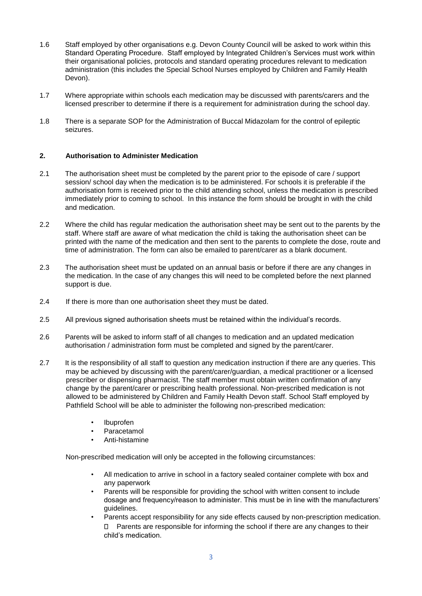- 1.6 Staff employed by other organisations e.g. Devon County Council will be asked to work within this Standard Operating Procedure. Staff employed by Integrated Children's Services must work within their organisational policies, protocols and standard operating procedures relevant to medication administration (this includes the Special School Nurses employed by Children and Family Health Devon).
- 1.7 Where appropriate within schools each medication may be discussed with parents/carers and the licensed prescriber to determine if there is a requirement for administration during the school day.
- 1.8 There is a separate SOP for the Administration of Buccal Midazolam for the control of epileptic seizures.

#### **2. Authorisation to Administer Medication**

- 2.1 The authorisation sheet must be completed by the parent prior to the episode of care / support session/ school day when the medication is to be administered. For schools it is preferable if the authorisation form is received prior to the child attending school, unless the medication is prescribed immediately prior to coming to school. In this instance the form should be brought in with the child and medication.
- 2.2 Where the child has regular medication the authorisation sheet may be sent out to the parents by the staff. Where staff are aware of what medication the child is taking the authorisation sheet can be printed with the name of the medication and then sent to the parents to complete the dose, route and time of administration. The form can also be emailed to parent/carer as a blank document.
- 2.3 The authorisation sheet must be updated on an annual basis or before if there are any changes in the medication. In the case of any changes this will need to be completed before the next planned support is due.
- 2.4 If there is more than one authorisation sheet they must be dated.
- 2.5 All previous signed authorisation sheets must be retained within the individual's records.
- 2.6 Parents will be asked to inform staff of all changes to medication and an updated medication authorisation / administration form must be completed and signed by the parent/carer.
- 2.7 It is the responsibility of all staff to question any medication instruction if there are any queries. This may be achieved by discussing with the parent/carer/guardian, a medical practitioner or a licensed prescriber or dispensing pharmacist. The staff member must obtain written confirmation of any change by the parent/carer or prescribing health professional. Non-prescribed medication is not allowed to be administered by Children and Family Health Devon staff. School Staff employed by Pathfield School will be able to administer the following non-prescribed medication:
	- Ibuprofen
	- Paracetamol
	- Anti-histamine

Non-prescribed medication will only be accepted in the following circumstances:

- All medication to arrive in school in a factory sealed container complete with box and any paperwork
- Parents will be responsible for providing the school with written consent to include dosage and frequency/reason to administer. This must be in line with the manufacturers' guidelines.
- Parents accept responsibility for any side effects caused by non-prescription medication. Parents are responsible for informing the school if there are any changes to their child's medication.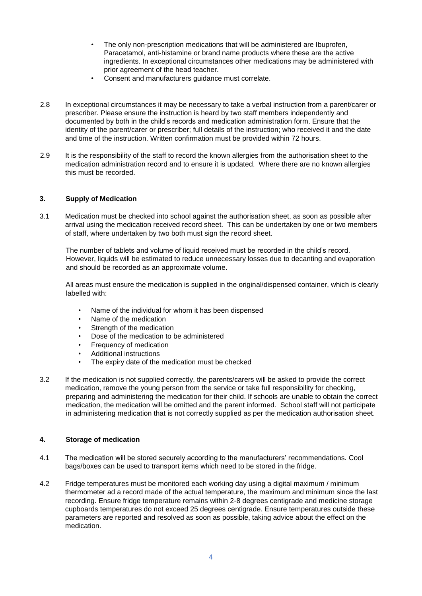- The only non-prescription medications that will be administered are Ibuprofen, Paracetamol, anti-histamine or brand name products where these are the active ingredients. In exceptional circumstances other medications may be administered with prior agreement of the head teacher.
- Consent and manufacturers guidance must correlate.
- 2.8 In exceptional circumstances it may be necessary to take a verbal instruction from a parent/carer or prescriber. Please ensure the instruction is heard by two staff members independently and documented by both in the child's records and medication administration form. Ensure that the identity of the parent/carer or prescriber; full details of the instruction; who received it and the date and time of the instruction. Written confirmation must be provided within 72 hours.
- 2.9 It is the responsibility of the staff to record the known allergies from the authorisation sheet to the medication administration record and to ensure it is updated. Where there are no known allergies this must be recorded.

#### **3. Supply of Medication**

3.1 Medication must be checked into school against the authorisation sheet, as soon as possible after arrival using the medication received record sheet. This can be undertaken by one or two members of staff, where undertaken by two both must sign the record sheet.

The number of tablets and volume of liquid received must be recorded in the child's record. However, liquids will be estimated to reduce unnecessary losses due to decanting and evaporation and should be recorded as an approximate volume.

All areas must ensure the medication is supplied in the original/dispensed container, which is clearly labelled with:

- Name of the individual for whom it has been dispensed
- Name of the medication
- Strength of the medication
- Dose of the medication to be administered
- Frequency of medication
- Additional instructions
- The expiry date of the medication must be checked
- 3.2 If the medication is not supplied correctly, the parents/carers will be asked to provide the correct medication, remove the young person from the service or take full responsibility for checking, preparing and administering the medication for their child. If schools are unable to obtain the correct medication, the medication will be omitted and the parent informed. School staff will not participate in administering medication that is not correctly supplied as per the medication authorisation sheet.

### **4. Storage of medication**

- 4.1 The medication will be stored securely according to the manufacturers' recommendations. Cool bags/boxes can be used to transport items which need to be stored in the fridge.
- 4.2 Fridge temperatures must be monitored each working day using a digital maximum / minimum thermometer ad a record made of the actual temperature, the maximum and minimum since the last recording. Ensure fridge temperature remains within 2-8 degrees centigrade and medicine storage cupboards temperatures do not exceed 25 degrees centigrade. Ensure temperatures outside these parameters are reported and resolved as soon as possible, taking advice about the effect on the medication.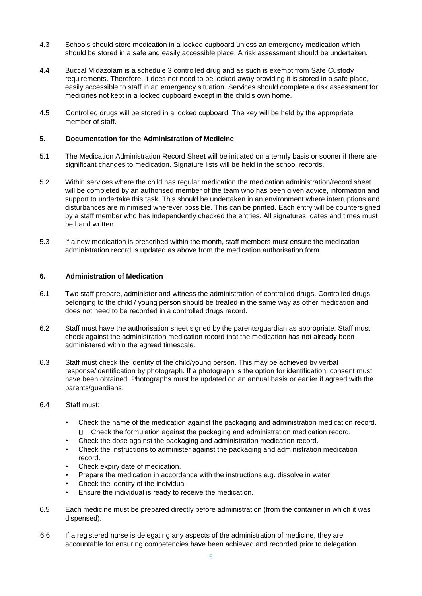- 4.3 Schools should store medication in a locked cupboard unless an emergency medication which should be stored in a safe and easily accessible place. A risk assessment should be undertaken.
- 4.4 Buccal Midazolam is a schedule 3 controlled drug and as such is exempt from Safe Custody requirements. Therefore, it does not need to be locked away providing it is stored in a safe place, easily accessible to staff in an emergency situation. Services should complete a risk assessment for medicines not kept in a locked cupboard except in the child's own home.
- 4.5 Controlled drugs will be stored in a locked cupboard. The key will be held by the appropriate member of staff.

#### **5. Documentation for the Administration of Medicine**

- 5.1 The Medication Administration Record Sheet will be initiated on a termly basis or sooner if there are significant changes to medication. Signature lists will be held in the school records.
- 5.2 Within services where the child has regular medication the medication administration/record sheet will be completed by an authorised member of the team who has been given advice, information and support to undertake this task. This should be undertaken in an environment where interruptions and disturbances are minimised wherever possible. This can be printed. Each entry will be countersigned by a staff member who has independently checked the entries. All signatures, dates and times must be hand written.
- 5.3 If a new medication is prescribed within the month, staff members must ensure the medication administration record is updated as above from the medication authorisation form.

#### **6. Administration of Medication**

- 6.1 Two staff prepare, administer and witness the administration of controlled drugs. Controlled drugs belonging to the child / young person should be treated in the same way as other medication and does not need to be recorded in a controlled drugs record.
- 6.2 Staff must have the authorisation sheet signed by the parents/guardian as appropriate. Staff must check against the administration medication record that the medication has not already been administered within the agreed timescale.
- 6.3 Staff must check the identity of the child/young person. This may be achieved by verbal response/identification by photograph. If a photograph is the option for identification, consent must have been obtained. Photographs must be updated on an annual basis or earlier if agreed with the parents/guardians.

#### 6.4 Staff must:

- Check the name of the medication against the packaging and administration medication record. Check the formulation against the packaging and administration medication record.  $\Box$
- Check the dose against the packaging and administration medication record.
- Check the instructions to administer against the packaging and administration medication record.
- Check expiry date of medication.
- Prepare the medication in accordance with the instructions e.g. dissolve in water
- Check the identity of the individual
- Ensure the individual is ready to receive the medication.
- 6.5 Each medicine must be prepared directly before administration (from the container in which it was dispensed).
- 6.6 If a registered nurse is delegating any aspects of the administration of medicine, they are accountable for ensuring competencies have been achieved and recorded prior to delegation.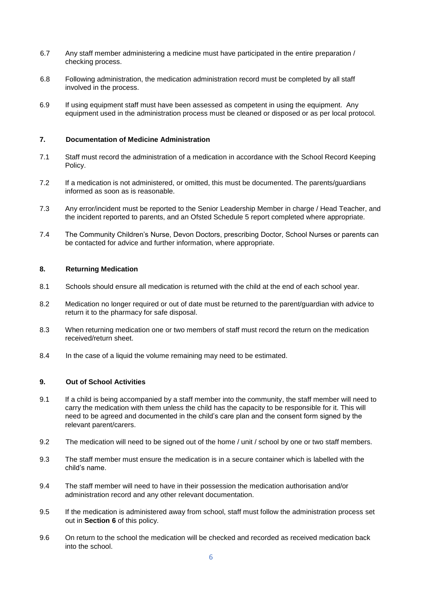- 6.7 Any staff member administering a medicine must have participated in the entire preparation / checking process.
- 6.8 Following administration, the medication administration record must be completed by all staff involved in the process.
- 6.9 If using equipment staff must have been assessed as competent in using the equipment. Any equipment used in the administration process must be cleaned or disposed or as per local protocol.

#### **7. Documentation of Medicine Administration**

- 7.1 Staff must record the administration of a medication in accordance with the School Record Keeping Policy.
- 7.2 If a medication is not administered, or omitted, this must be documented. The parents/guardians informed as soon as is reasonable.
- 7.3 Any error/incident must be reported to the Senior Leadership Member in charge / Head Teacher, and the incident reported to parents, and an Ofsted Schedule 5 report completed where appropriate.
- 7.4 The Community Children's Nurse, Devon Doctors, prescribing Doctor, School Nurses or parents can be contacted for advice and further information, where appropriate.

#### **8. Returning Medication**

- 8.1 Schools should ensure all medication is returned with the child at the end of each school year.
- 8.2 Medication no longer required or out of date must be returned to the parent/guardian with advice to return it to the pharmacy for safe disposal.
- 8.3 When returning medication one or two members of staff must record the return on the medication received/return sheet.
- 8.4 In the case of a liquid the volume remaining may need to be estimated.

#### **9. Out of School Activities**

- 9.1 If a child is being accompanied by a staff member into the community, the staff member will need to carry the medication with them unless the child has the capacity to be responsible for it. This will need to be agreed and documented in the child's care plan and the consent form signed by the relevant parent/carers.
- 9.2 The medication will need to be signed out of the home / unit / school by one or two staff members.
- 9.3 The staff member must ensure the medication is in a secure container which is labelled with the child's name.
- 9.4 The staff member will need to have in their possession the medication authorisation and/or administration record and any other relevant documentation.
- 9.5 If the medication is administered away from school, staff must follow the administration process set out in **Section 6** of this policy.
- 9.6 On return to the school the medication will be checked and recorded as received medication back into the school.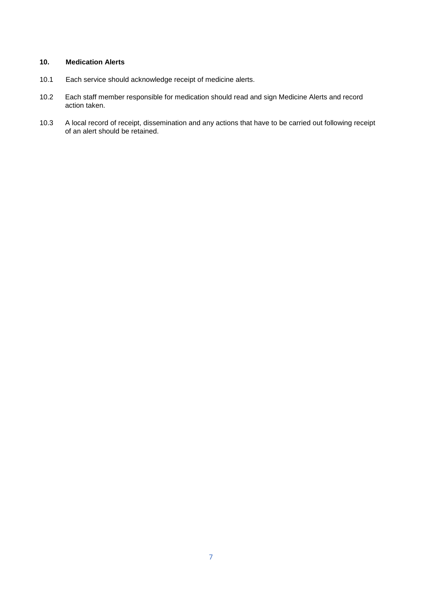### **10. Medication Alerts**

- 10.1 Each service should acknowledge receipt of medicine alerts.
- 10.2 Each staff member responsible for medication should read and sign Medicine Alerts and record action taken.
- 10.3 A local record of receipt, dissemination and any actions that have to be carried out following receipt of an alert should be retained.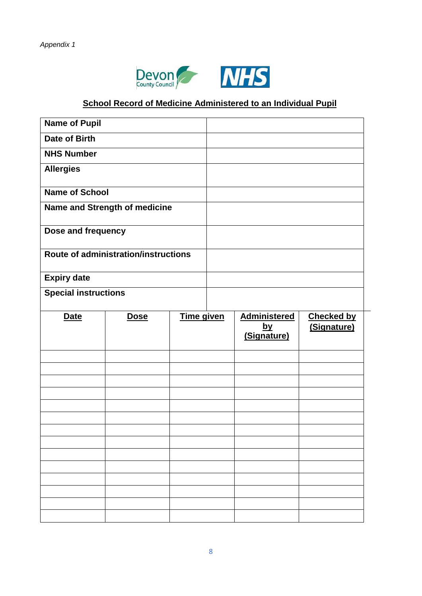



# **School Record of Medicine Administered to an Individual Pupil**

| <b>Name of Pupil</b>        |                                      |            |                          |                   |
|-----------------------------|--------------------------------------|------------|--------------------------|-------------------|
| <b>Date of Birth</b>        |                                      |            |                          |                   |
| <b>NHS Number</b>           |                                      |            |                          |                   |
| <b>Allergies</b>            |                                      |            |                          |                   |
| <b>Name of School</b>       |                                      |            |                          |                   |
|                             | Name and Strength of medicine        |            |                          |                   |
|                             |                                      |            |                          |                   |
| Dose and frequency          |                                      |            |                          |                   |
|                             | Route of administration/instructions |            |                          |                   |
| <b>Expiry date</b>          |                                      |            |                          |                   |
| <b>Special instructions</b> |                                      |            |                          |                   |
|                             |                                      | Time given | <b>Administered</b>      | <b>Checked by</b> |
| <b>Date</b>                 | <b>Dose</b>                          |            |                          |                   |
|                             |                                      |            | <u>by</u><br>(Signature) | (Signature)       |
|                             |                                      |            |                          |                   |
|                             |                                      |            |                          |                   |
|                             |                                      |            |                          |                   |
|                             |                                      |            |                          |                   |
|                             |                                      |            |                          |                   |
|                             |                                      |            |                          |                   |
|                             |                                      |            |                          |                   |
|                             |                                      |            |                          |                   |
|                             |                                      |            |                          |                   |
|                             |                                      |            |                          |                   |
|                             |                                      |            |                          |                   |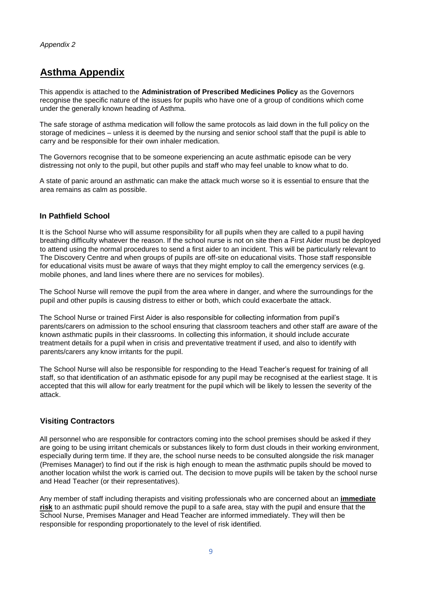# **Asthma Appendix**

This appendix is attached to the **Administration of Prescribed Medicines Policy** as the Governors recognise the specific nature of the issues for pupils who have one of a group of conditions which come under the generally known heading of Asthma.

The safe storage of asthma medication will follow the same protocols as laid down in the full policy on the storage of medicines – unless it is deemed by the nursing and senior school staff that the pupil is able to carry and be responsible for their own inhaler medication.

The Governors recognise that to be someone experiencing an acute asthmatic episode can be very distressing not only to the pupil, but other pupils and staff who may feel unable to know what to do.

A state of panic around an asthmatic can make the attack much worse so it is essential to ensure that the area remains as calm as possible.

## **In Pathfield School**

It is the School Nurse who will assume responsibility for all pupils when they are called to a pupil having breathing difficulty whatever the reason. If the school nurse is not on site then a First Aider must be deployed to attend using the normal procedures to send a first aider to an incident. This will be particularly relevant to The Discovery Centre and when groups of pupils are off-site on educational visits. Those staff responsible for educational visits must be aware of ways that they might employ to call the emergency services (e.g. mobile phones, and land lines where there are no services for mobiles).

The School Nurse will remove the pupil from the area where in danger, and where the surroundings for the pupil and other pupils is causing distress to either or both, which could exacerbate the attack.

The School Nurse or trained First Aider is also responsible for collecting information from pupil's parents/carers on admission to the school ensuring that classroom teachers and other staff are aware of the known asthmatic pupils in their classrooms. In collecting this information, it should include accurate treatment details for a pupil when in crisis and preventative treatment if used, and also to identify with parents/carers any know irritants for the pupil.

The School Nurse will also be responsible for responding to the Head Teacher's request for training of all staff, so that identification of an asthmatic episode for any pupil may be recognised at the earliest stage. It is accepted that this will allow for early treatment for the pupil which will be likely to lessen the severity of the attack.

# **Visiting Contractors**

All personnel who are responsible for contractors coming into the school premises should be asked if they are going to be using irritant chemicals or substances likely to form dust clouds in their working environment, especially during term time. If they are, the school nurse needs to be consulted alongside the risk manager (Premises Manager) to find out if the risk is high enough to mean the asthmatic pupils should be moved to another location whilst the work is carried out. The decision to move pupils will be taken by the school nurse and Head Teacher (or their representatives).

Any member of staff including therapists and visiting professionals who are concerned about an **immediate risk** to an asthmatic pupil should remove the pupil to a safe area, stay with the pupil and ensure that the School Nurse, Premises Manager and Head Teacher are informed immediately. They will then be responsible for responding proportionately to the level of risk identified.